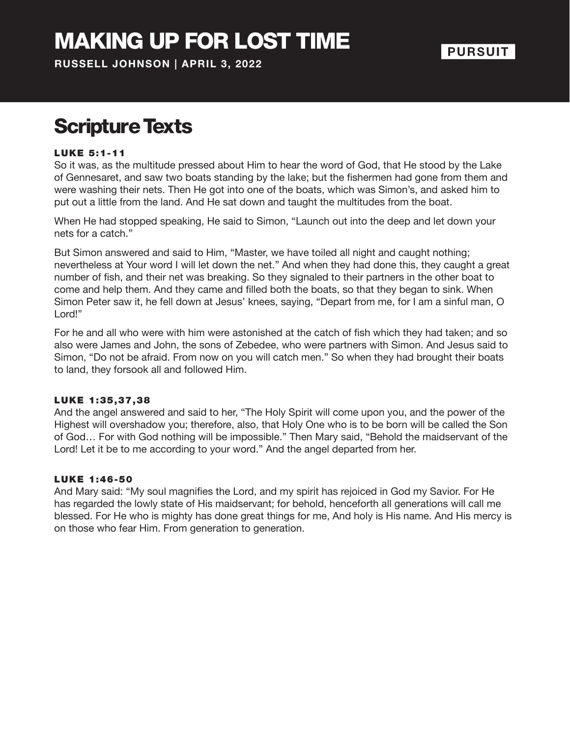## MAKING UP FOR LOST TIME

**RUSSELL JOHNSON | APRIL 3, 2022**

### **PURSUIT**

## Scripture Texts

#### LUKE 5:1-11

So it was, as the multitude pressed about Him to hear the word of God, that He stood by the Lake of Gennesaret, and saw two boats standing by the lake; but the fishermen had gone from them and were washing their nets. Then He got into one of the boats, which was Simon's, and asked him to put out a little from the land. And He sat down and taught the multitudes from the boat.

When He had stopped speaking, He said to Simon, "Launch out into the deep and let down your nets for a catch."

But Simon answered and said to Him, "Master, we have toiled all night and caught nothing; nevertheless at Your word I will let down the net." And when they had done this, they caught a great number of fish, and their net was breaking. So they signaled to their partners in the other boat to come and help them. And they came and filled both the boats, so that they began to sink. When Simon Peter saw it, he fell down at Jesus' knees, saying, "Depart from me, for I am a sinful man, O Lord!"

For he and all who were with him were astonished at the catch of fish which they had taken; and so also were James and John, the sons of Zebedee, who were partners with Simon. And Jesus said to Simon, "Do not be afraid. From now on you will catch men." So when they had brought their boats to land, they forsook all and followed Him.

#### LUKE 1:35,37,38

And the angel answered and said to her, "The Holy Spirit will come upon you, and the power of the Highest will overshadow you; therefore, also, that Holy One who is to be born will be called the Son of God… For with God nothing will be impossible." Then Mary said, "Behold the maidservant of the Lord! Let it be to me according to your word." And the angel departed from her.

#### LUKE 1 :46-50

And Mary said: "My soul magnifies the Lord, and my spirit has rejoiced in God my Savior. For He has regarded the lowly state of His maidservant; for behold, henceforth all generations will call me blessed. For He who is mighty has done great things for me, And holy is His name. And His mercy is on those who fear Him. From generation to generation.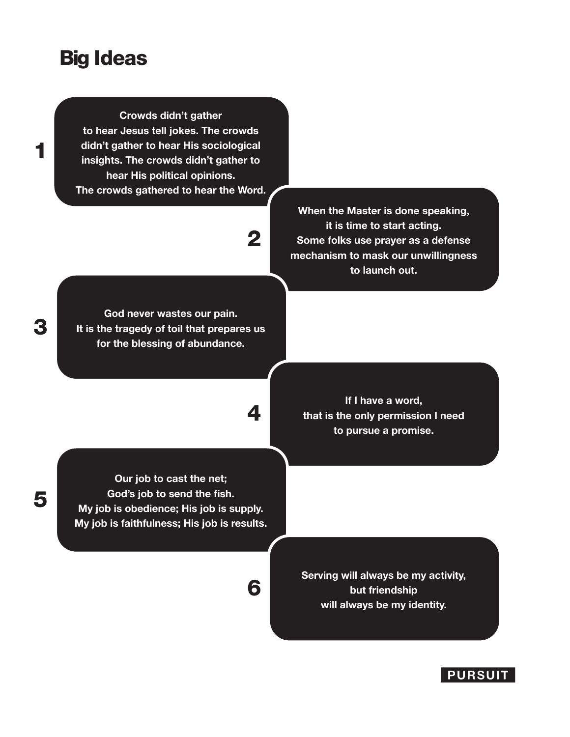### Big Ideas

1

3

5

**Crowds didn't gather to hear Jesus tell jokes. The crowds didn't gather to hear His sociological insights. The crowds didn't gather to hear His political opinions. The crowds gathered to hear the Word.**

# 2

4

6

**God never wastes our pain. It is the tragedy of toil that prepares us for the blessing of abundance.**

**When the Master is done speaking, it is time to start acting. Some folks use prayer as a defense mechanism to mask our unwillingness to launch out.**

**If I have a word, that is the only permission I need to pursue a promise.**

**Our job to cast the net; God's job to send the fish. My job is obedience; His job is supply. My job is faithfulness; His job is results.**

> **Serving will always be my activity, but friendship will always be my identity.**

#### **PURSUIT**